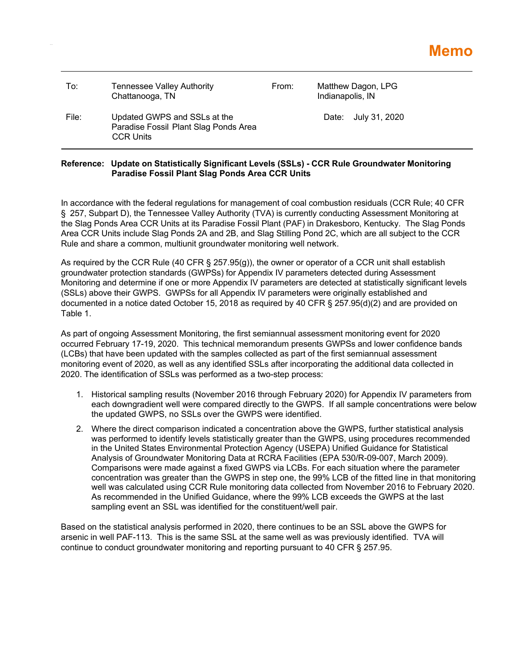| To:   | Tennessee Valley Authority<br>Chattanooga, TN                                             | From: | Matthew Dagon, LPG<br>Indianapolis, IN |  |
|-------|-------------------------------------------------------------------------------------------|-------|----------------------------------------|--|
| File: | Updated GWPS and SSLs at the<br>Paradise Fossil Plant Slag Ponds Area<br><b>CCR Units</b> |       | Date: July 31, 2020                    |  |

## **Reference: Update on Statistically Significant Levels (SSLs) - CCR Rule Groundwater Monitoring Paradise Fossil Plant Slag Ponds Area CCR Units**

In accordance with the federal regulations for management of coal combustion residuals (CCR Rule; 40 CFR § 257, Subpart D), the Tennessee Valley Authority (TVA) is currently conducting Assessment Monitoring at the Slag Ponds Area CCR Units at its Paradise Fossil Plant (PAF) in Drakesboro, Kentucky. The Slag Ponds Area CCR Units include Slag Ponds 2A and 2B, and Slag Stilling Pond 2C, which are all subject to the CCR Rule and share a common, multiunit groundwater monitoring well network.

As required by the CCR Rule (40 CFR § 257.95(g)), the owner or operator of a CCR unit shall establish groundwater protection standards (GWPSs) for Appendix IV parameters detected during Assessment Monitoring and determine if one or more Appendix IV parameters are detected at statistically significant levels (SSLs) above their GWPS. GWPSs for all Appendix IV parameters were originally established and documented in a notice dated October 15, 2018 as required by 40 CFR § 257.95(d)(2) and are provided on Table 1.

As part of ongoing Assessment Monitoring, the first semiannual assessment monitoring event for 2020 occurred February 17-19, 2020. This technical memorandum presents GWPSs and lower confidence bands (LCBs) that have been updated with the samples collected as part of the first semiannual assessment monitoring event of 2020, as well as any identified SSLs after incorporating the additional data collected in 2020. The identification of SSLs was performed as a two-step process:

- 1. Historical sampling results (November 2016 through February 2020) for Appendix IV parameters from each downgradient well were compared directly to the GWPS. If all sample concentrations were below the updated GWPS, no SSLs over the GWPS were identified.
- 2. Where the direct comparison indicated a concentration above the GWPS, further statistical analysis was performed to identify levels statistically greater than the GWPS, using procedures recommended in the United States Environmental Protection Agency (USEPA) Unified Guidance for Statistical Analysis of Groundwater Monitoring Data at RCRA Facilities (EPA 530/R-09-007, March 2009). Comparisons were made against a fixed GWPS via LCBs. For each situation where the parameter concentration was greater than the GWPS in step one, the 99% LCB of the fitted line in that monitoring well was calculated using CCR Rule monitoring data collected from November 2016 to February 2020. As recommended in the Unified Guidance, where the 99% LCB exceeds the GWPS at the last sampling event an SSL was identified for the constituent/well pair.

Based on the statistical analysis performed in 2020, there continues to be an SSL above the GWPS for arsenic in well PAF-113. This is the same SSL at the same well as was previously identified. TVA will continue to conduct groundwater monitoring and reporting pursuant to 40 CFR § 257.95.